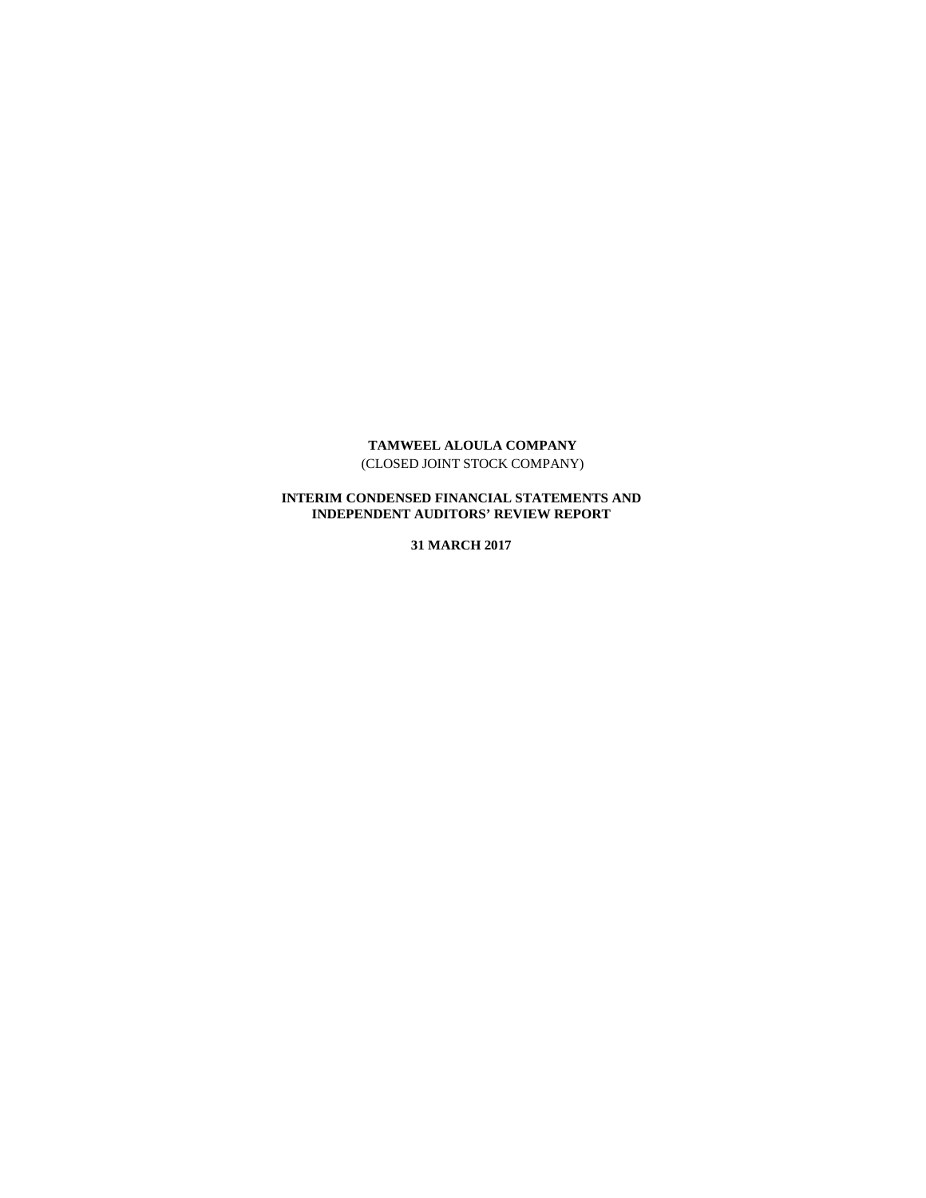### **TAMWEEL ALOULA COMPANY** (CLOSED JOINT STOCK COMPANY)

### **INTERIM CONDENSED FINANCIAL STATEMENTS AND INDEPENDENT AUDITORS' REVIEW REPORT**

**31 MARCH 2017**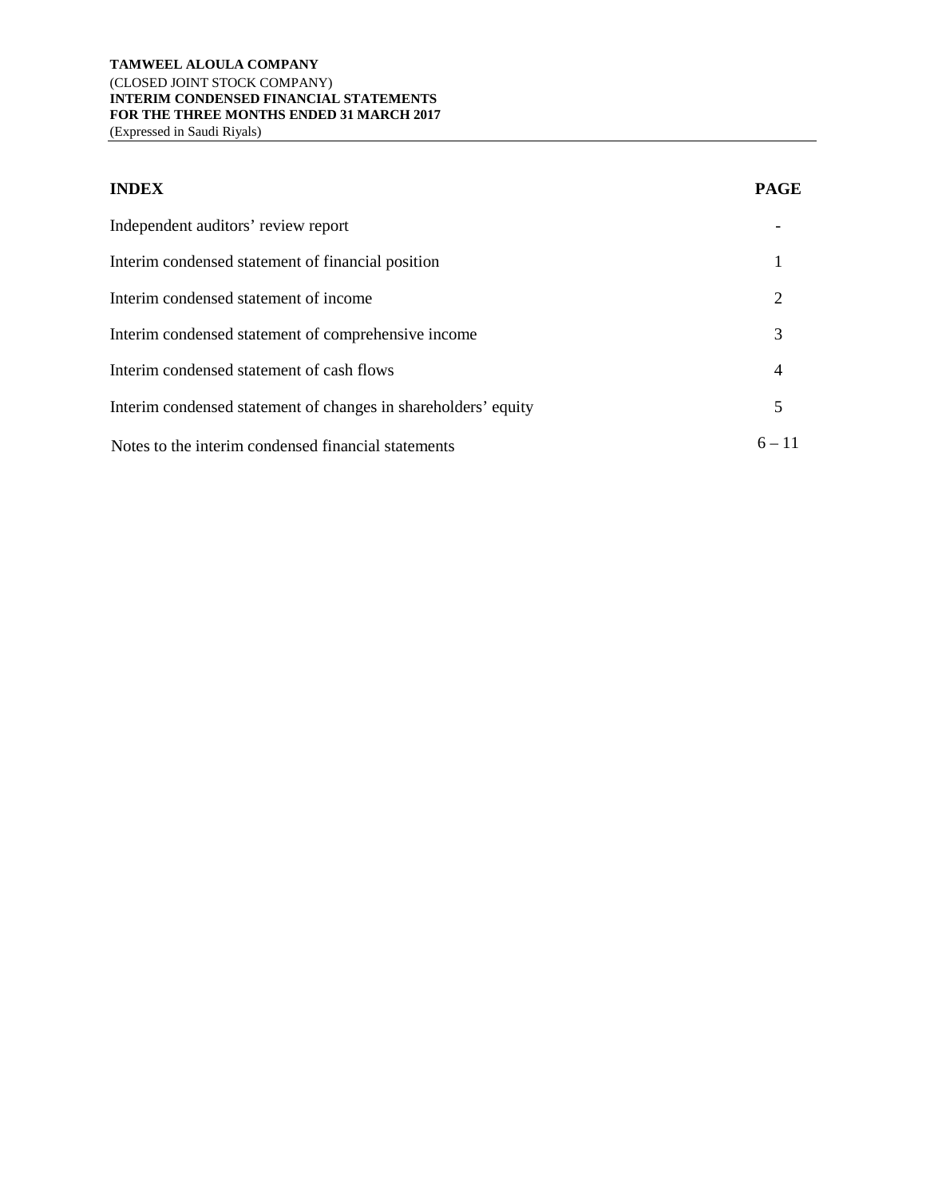#### **TAMWEEL ALOULA COMPANY** (CLOSED JOINT STOCK COMPANY) **INTERIM CONDENSED FINANCIAL STATEMENTS FOR THE THREE MONTHS ENDED 31 MARCH 2017** (Expressed in Saudi Riyals)

**INDEX PAGE** Independent auditors' review report contains the state of the state of the state of the state of the state of the state of the state of the state of the state of the state of the state of the state of the state of the stat Interim condensed statement of financial position 1 Interim condensed statement of income 2 Interim condensed statement of comprehensive income 3 Interim condensed statement of cash flows 4 Interim condensed statement of changes in shareholders' equity 5 Notes to the interim condensed financial statements  $6 - 11$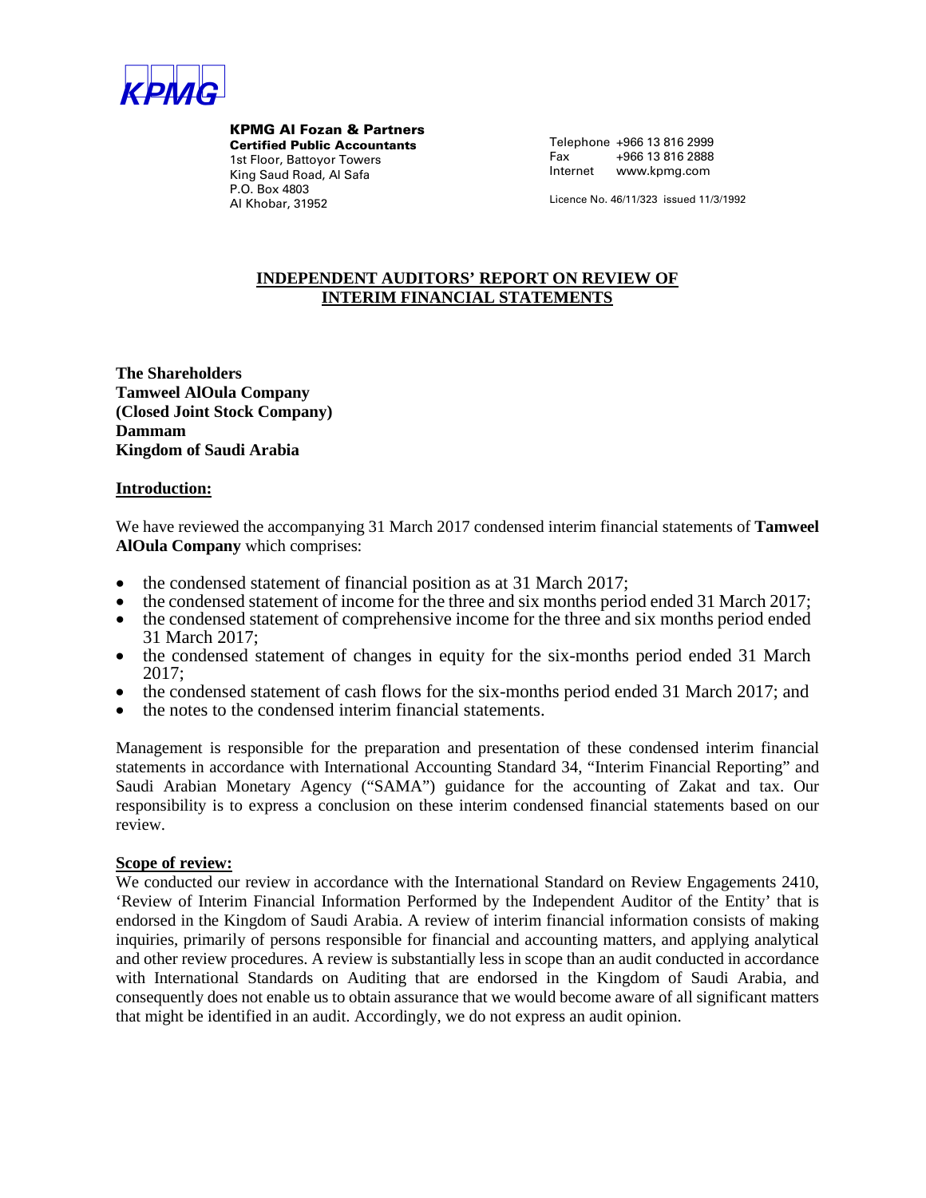

KPMG Al Fozan & Partners Certified Public Accountants 1st Floor, Battoyor Towers King Saud Road, Al Safa P.O. Box 4803 Al Khobar, 31952

Telephone +966 13 816 2999 Fax +966 13 816 2888 Internet www.kpmg.com

Licence No. 46/11/323 issued 11/3/1992

## **INDEPENDENT AUDITORS' REPORT ON REVIEW OF INTERIM FINANCIAL STATEMENTS**

**The Shareholders Tamweel AlOula Company (Closed Joint Stock Company) Dammam Kingdom of Saudi Arabia**

#### **Introduction:**

We have reviewed the accompanying 31 March 2017 condensed interim financial statements of **Tamweel AlOula Company** which comprises:

- the condensed statement of financial position as at 31 March 2017;
- the condensed statement of income for the three and six months period ended 31 March 2017;
- the condensed statement of comprehensive income for the three and six months period ended 31 March 2017;
- the condensed statement of changes in equity for the six-months period ended 31 March 2017;
- the condensed statement of cash flows for the six-months period ended 31 March 2017; and
- the notes to the condensed interim financial statements.

Management is responsible for the preparation and presentation of these condensed interim financial statements in accordance with International Accounting Standard 34, "Interim Financial Reporting" and Saudi Arabian Monetary Agency ("SAMA") guidance for the accounting of Zakat and tax. Our responsibility is to express a conclusion on these interim condensed financial statements based on our review.

### **Scope of review:**

We conducted our review in accordance with the International Standard on Review Engagements 2410, 'Review of Interim Financial Information Performed by the Independent Auditor of the Entity' that is endorsed in the Kingdom of Saudi Arabia. A review of interim financial information consists of making inquiries, primarily of persons responsible for financial and accounting matters, and applying analytical and other review procedures. A review is substantially less in scope than an audit conducted in accordance with International Standards on Auditing that are endorsed in the Kingdom of Saudi Arabia, and consequently does not enable us to obtain assurance that we would become aware of all significant matters that might be identified in an audit. Accordingly, we do not express an audit opinion.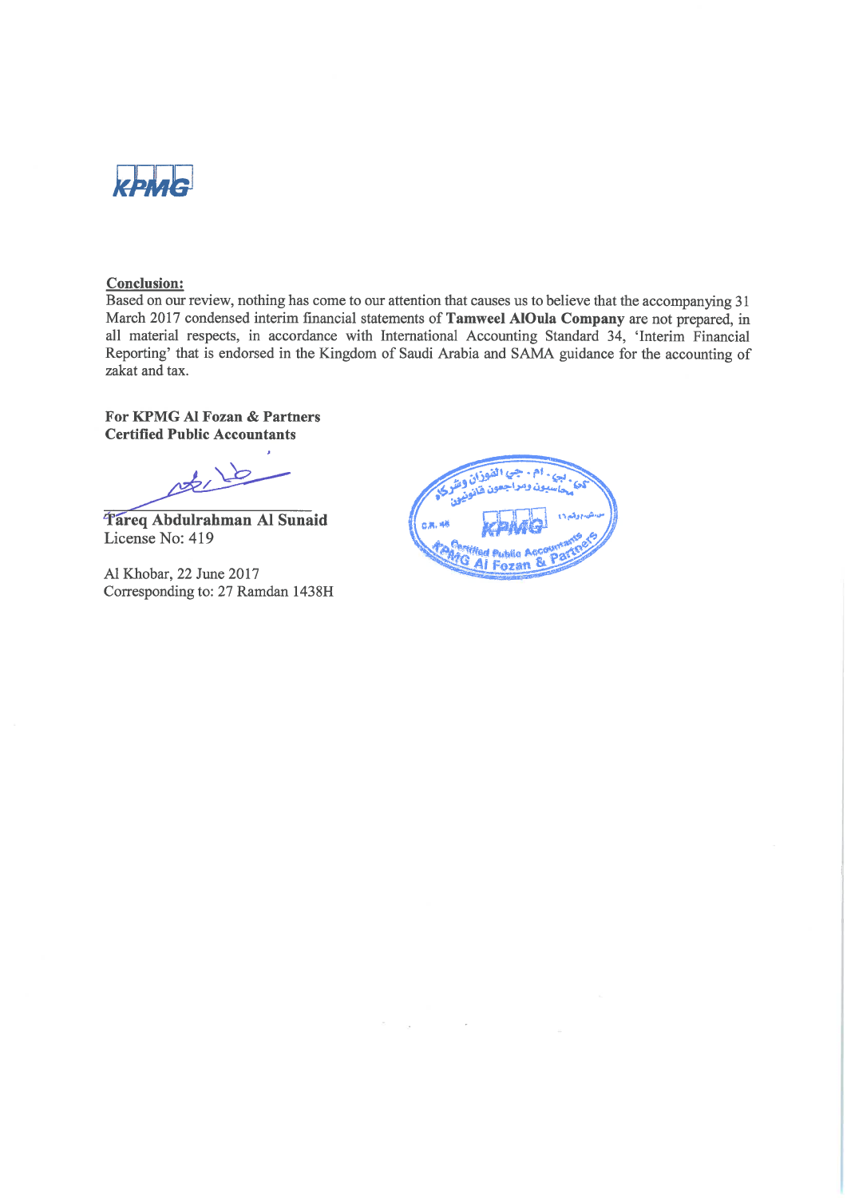

## **Conclusion:**

Based on our review, nothing has come to our attention that causes us to believe that the accompanying 31 March 2017 condensed interim financial statements of Tamweel AlOula Company are not prepared, in all material respects, in accordance with International Accounting Standard 34, 'Interim Financial Reporting' that is endorsed in the Kingdom of Saudi Arabia and SAMA guidance for the accounting of zakat and tax.

## For KPMG Al Fozan & Partners **Certified Public Accountants**

nt, 16

Tareq Abdulrahman Al Sunaid License No: 419

Al Khobar, 22 June 2017 Corresponding to: 27 Ramdan 1438H

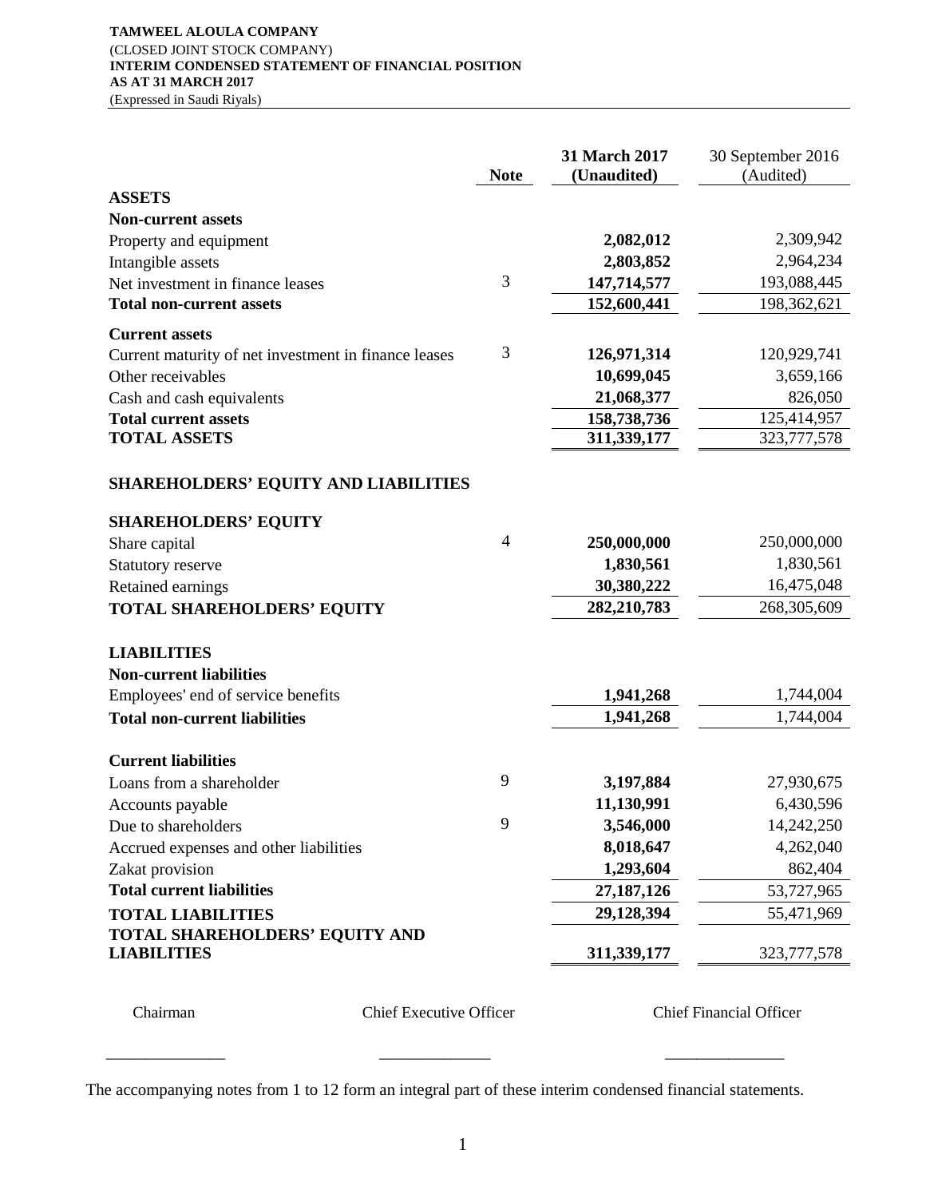#### **TAMWEEL ALOULA COMPANY** (CLOSED JOINT STOCK COMPANY) **INTERIM CONDENSED STATEMENT OF FINANCIAL POSITION AS AT 31 MARCH 2017** (Expressed in Saudi Riyals)

**Note 31 March 2017 (Unaudited)** 30 September 2016 (Audited) **ASSETS Non-current assets** Property and equipment **2,082,012** 2,309,942 Intangible assets **2,803,852** 2,964,234 Net investment in finance leases 3 147,714,577 193,088,445 **Total non-current assets 152,600,441** 198,362,621 **Current assets** Current maturity of net investment in finance leases 3 **126,971,314** 120,929,741 Other receivables **10,699,045** 3,659,166 Cash and cash equivalents **21,068,377** 826,050 **Total current assets 158,738,736** 125,414,957 **TOTAL ASSETS** 311,339,177 323,777,578 **SHAREHOLDERS' EQUITY AND LIABILITIES SHAREHOLDERS' EQUITY** Share capital **250,000,000** 250,000,000 250,000,000 Statutory reserve **1,830,561** 1,830,561 Retained earnings **30,380,222** 16,475,048 **TOTAL SHAREHOLDERS' EQUITY 282,210,783** 268,305,609 **LIABILITIES Non-current liabilities** Employees' end of service benefits **1,941,268** 1,744,004 **Total non-current liabilities 1,941,268** 1,744,004 **Current liabilities** Loans from a shareholder 9 **3,197,884** 27,930,675 Accounts payable **11,130,991** 6,430,596 Due to shareholders 9 **3,546,000** 14,242,250 Accrued expenses and other liabilities **8,018,647** 4,262,040 Zakat provision **1,293,604** 862,404 **Total current liabilities 27,187,126** 53,727,965 **TOTAL LIABILITIES 29,128,394** 55,471,969 **TOTAL SHAREHOLDERS' EQUITY AND LIABILITIES** 311,339,177 323,777,578

Chairman Chief Executive Officer Chief Financial Officer

The accompanying notes from 1 to 12 form an integral part of these interim condensed financial statements.

\_\_\_\_\_\_\_\_\_\_\_\_\_\_\_ \_\_\_\_\_\_\_\_\_\_\_\_\_\_ \_\_\_\_\_\_\_\_\_\_\_\_\_\_\_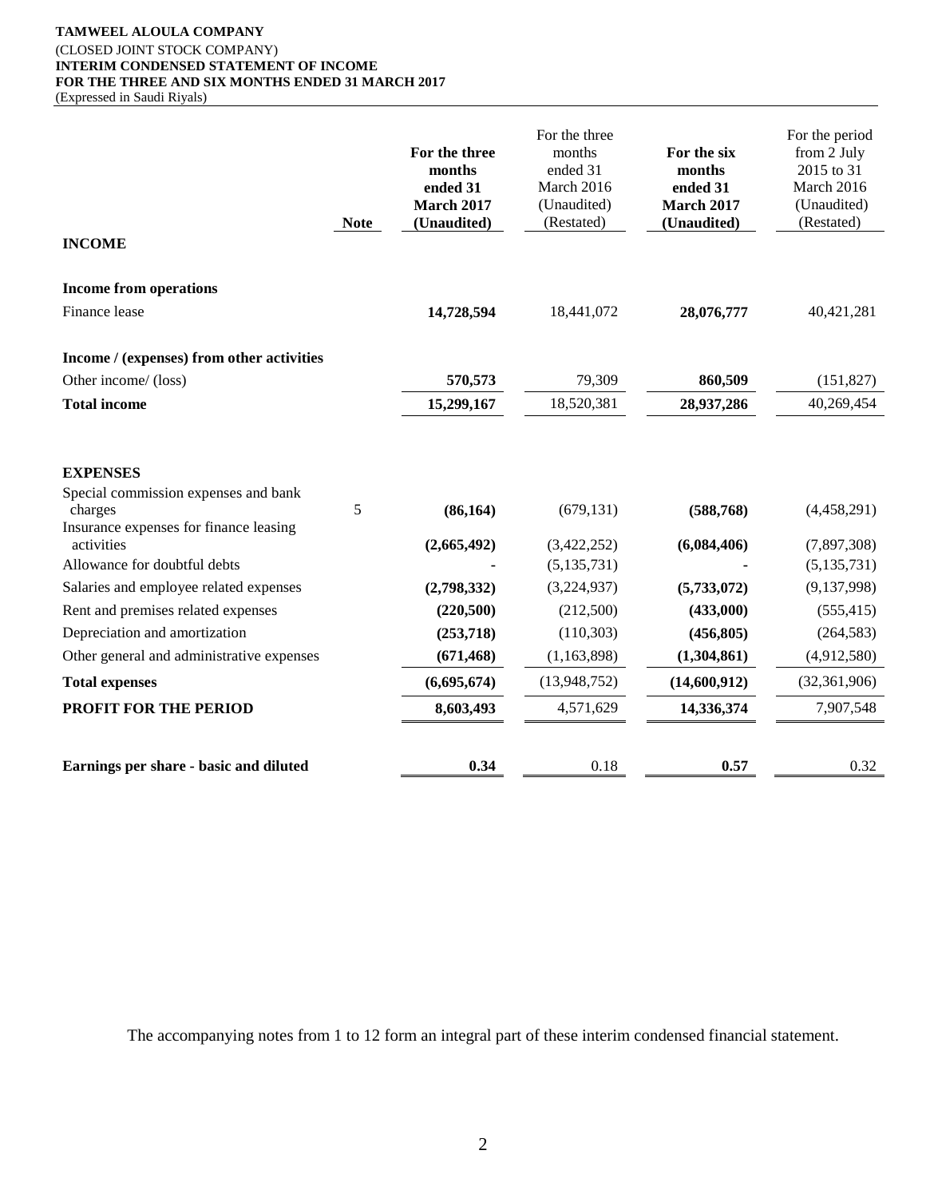#### **TAMWEEL ALOULA COMPANY** (CLOSED JOINT STOCK COMPANY) **INTERIM CONDENSED STATEMENT OF INCOME FOR THE THREE AND SIX MONTHS ENDED 31 MARCH 2017** (Expressed in Saudi Riyals)

**Note For the three months ended 31 March 2017 (Unaudited)** For the three months ended 31 March 2016 (Unaudited) (Restated) **For the six months ended 31 March 2017 (Unaudited)** For the period from 2 July 2015 to 31 March 2016 (Unaudited) (Restated) **INCOME Income from operations** Finance lease **14,728,594** 18,441,072 **28,076,777** 40,421,281 **Income / (expenses) from other activities** Other income/ (loss) **570,573** 79,309 **860,509** (151,827) **Total income 15,299,167** 18,520,381 **28,937,286** 40,269,454 **EXPENSES** Special commission expenses and bank charges 5 **(86,164)** (679,131) **(588,768)** (4,458,291) Insurance expenses for finance leasing activities **(2,665,492)** (3,422,252) **(6,084,406)** (7,897,308) Allowance for doubtful debts **-** (5,135,731) **-** (5,135,731) Salaries and employee related expenses **(2,798,332)** (3,224,937) **(5,733,072)** (9,137,998) Rent and premises related expenses **(220,500)** (212,500) **(433,000)** (555,415) Depreciation and amortization **(253,718)** (110,303) **(456,805)** (264,583) Other general and administrative expenses **(671,468)** (1,163,898) **(1,304,861)** (4,912,580) **Total expenses (6,695,674)** (13,948,752) **(14,600,912)** (32,361,906) **PROFIT FOR THE PERIOD 8,603,493** 4,571,629 **14,336,374** 7,907,548 **Earnings per share - basic and diluted 0.34** 0.18 **0.57** 0.32

The accompanying notes from 1 to 12 form an integral part of these interim condensed financial statement.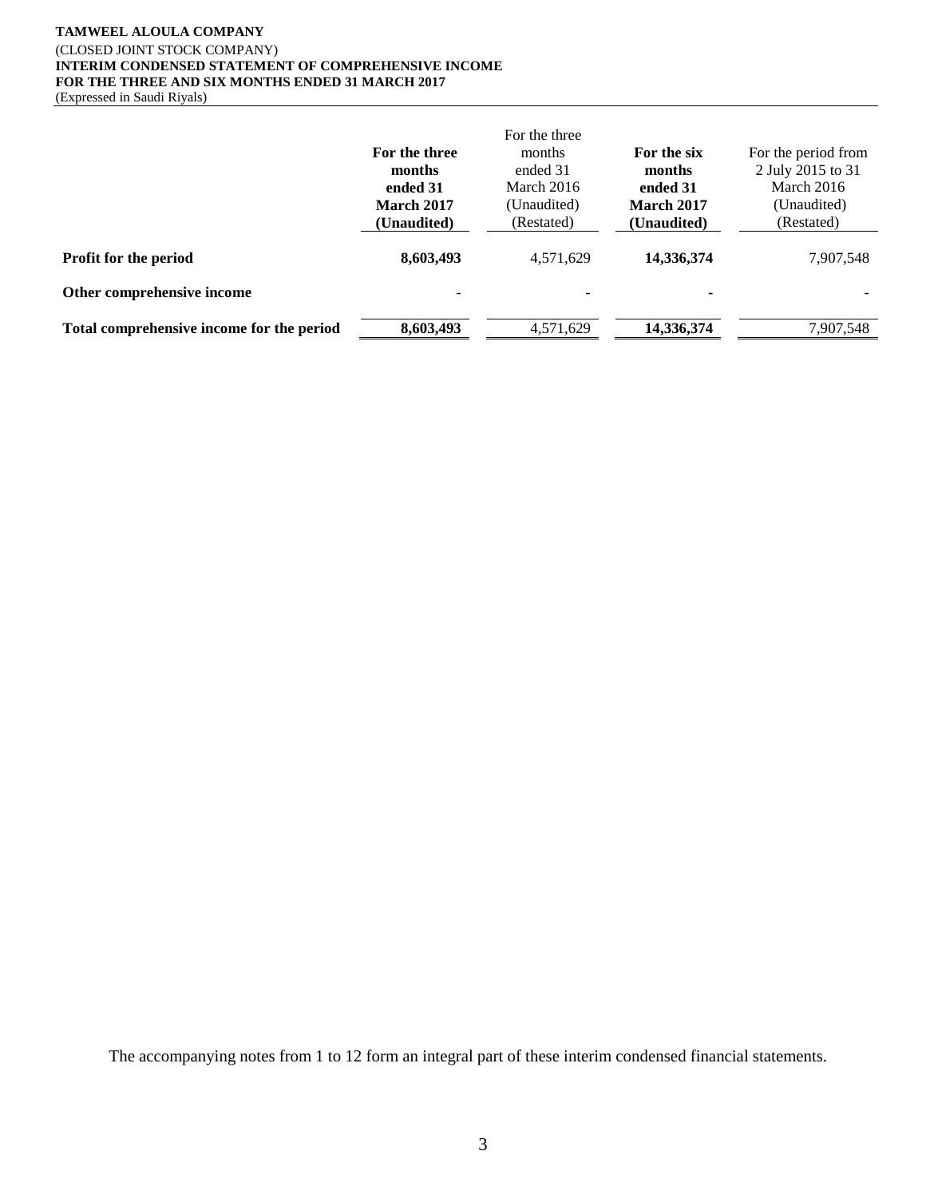#### **TAMWEEL ALOULA COMPANY** (CLOSED JOINT STOCK COMPANY) **INTERIM CONDENSED STATEMENT OF COMPREHENSIVE INCOME FOR THE THREE AND SIX MONTHS ENDED 31 MARCH 2017** (Expressed in Saudi Riyals)

|                                           | For the three             | For the three<br>months   | For the six                      | For the period from             |
|-------------------------------------------|---------------------------|---------------------------|----------------------------------|---------------------------------|
|                                           | months<br>ended 31        | ended 31<br>March 2016    | months<br>ended 31               | 2 July 2015 to 31<br>March 2016 |
|                                           | March 2017<br>(Unaudited) | (Unaudited)<br>(Restated) | <b>March 2017</b><br>(Unaudited) | (Unaudited)<br>(Restated)       |
| Profit for the period                     | 8,603,493                 | 4,571,629                 | 14,336,374                       | 7,907,548                       |
| Other comprehensive income                | $\overline{\phantom{a}}$  |                           | ۰                                |                                 |
| Total comprehensive income for the period | 8,603,493                 | 4,571,629                 | 14,336,374                       | 7,907,548                       |

The accompanying notes from 1 to 12 form an integral part of these interim condensed financial statements.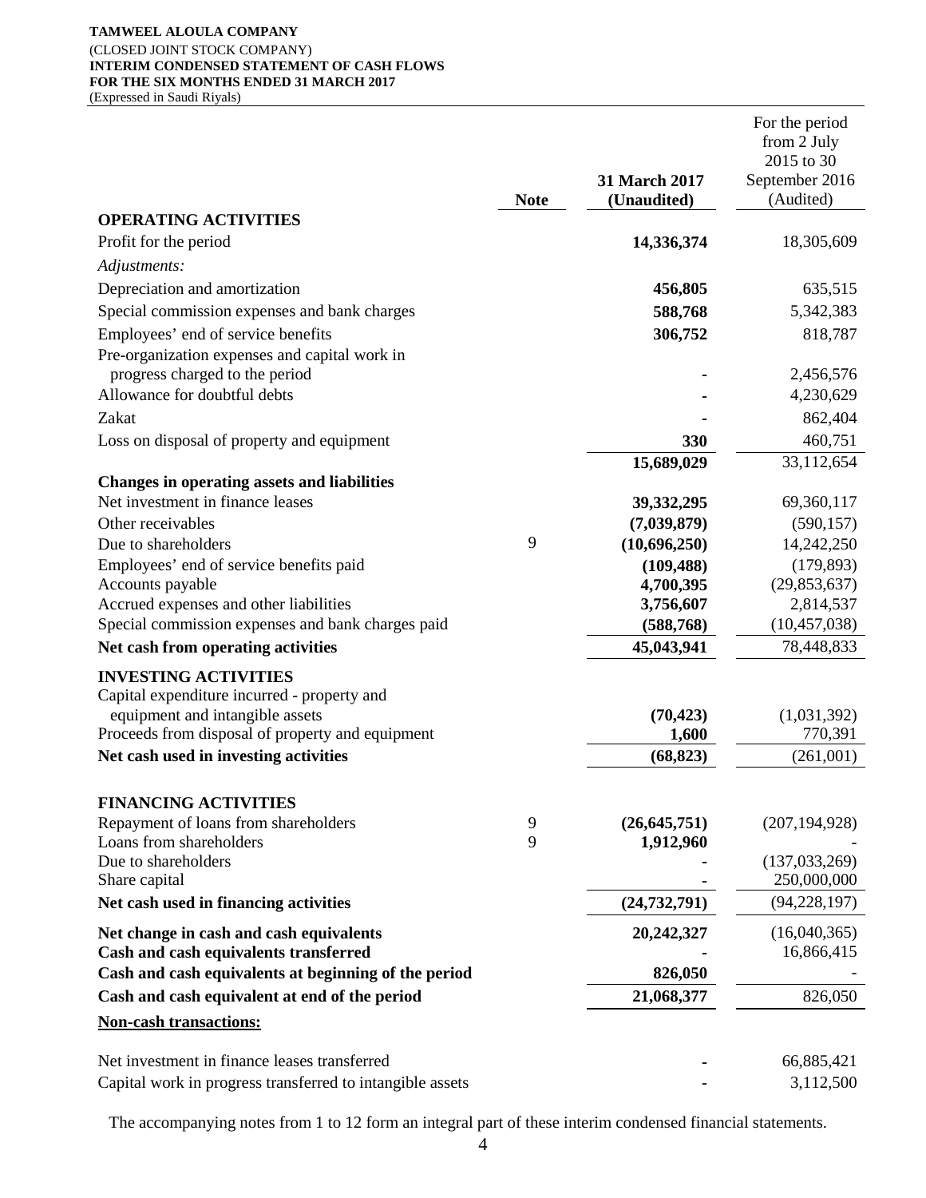#### **TAMWEEL ALOULA COMPANY** (CLOSED JOINT STOCK COMPANY) **INTERIM CONDENSED STATEMENT OF CASH FLOWS FOR THE SIX MONTHS ENDED 31 MARCH 2017** (Expressed in Saudi Riyals)

|                                                                                             | <b>Note</b> | 31 March 2017<br>(Unaudited) | For the period<br>from 2 July<br>2015 to 30<br>September 2016<br>(Audited) |
|---------------------------------------------------------------------------------------------|-------------|------------------------------|----------------------------------------------------------------------------|
| <b>OPERATING ACTIVITIES</b>                                                                 |             |                              |                                                                            |
| Profit for the period                                                                       |             | 14,336,374                   | 18,305,609                                                                 |
| Adjustments:                                                                                |             |                              |                                                                            |
| Depreciation and amortization                                                               |             | 456,805                      | 635,515                                                                    |
| Special commission expenses and bank charges                                                |             | 588,768                      | 5,342,383                                                                  |
| Employees' end of service benefits                                                          |             | 306,752                      | 818,787                                                                    |
| Pre-organization expenses and capital work in                                               |             |                              |                                                                            |
| progress charged to the period                                                              |             |                              | 2,456,576                                                                  |
| Allowance for doubtful debts                                                                |             |                              | 4,230,629                                                                  |
| Zakat                                                                                       |             |                              | 862,404                                                                    |
| Loss on disposal of property and equipment                                                  |             | 330                          | 460,751                                                                    |
| <b>Changes in operating assets and liabilities</b>                                          |             | 15,689,029                   | 33,112,654                                                                 |
| Net investment in finance leases                                                            |             | 39, 332, 295                 | 69,360,117                                                                 |
| Other receivables                                                                           |             | (7,039,879)                  | (590, 157)                                                                 |
| Due to shareholders                                                                         | 9           | (10,696,250)                 | 14,242,250                                                                 |
| Employees' end of service benefits paid                                                     |             | (109, 488)                   | (179, 893)                                                                 |
| Accounts payable                                                                            |             | 4,700,395                    | (29, 853, 637)                                                             |
| Accrued expenses and other liabilities<br>Special commission expenses and bank charges paid |             | 3,756,607<br>(588, 768)      | 2,814,537<br>(10, 457, 038)                                                |
| Net cash from operating activities                                                          |             | 45,043,941                   | 78,448,833                                                                 |
|                                                                                             |             |                              |                                                                            |
| <b>INVESTING ACTIVITIES</b><br>Capital expenditure incurred - property and                  |             |                              |                                                                            |
| equipment and intangible assets                                                             |             | (70, 423)                    | (1,031,392)                                                                |
| Proceeds from disposal of property and equipment                                            |             | 1,600                        | 770,391                                                                    |
| Net cash used in investing activities                                                       |             | (68, 823)                    | (261,001)                                                                  |
| <b>FINANCING ACTIVITIES</b>                                                                 |             |                              |                                                                            |
| Repayment of loans from shareholders                                                        | 9           | (26, 645, 751)               | (207, 194, 928)                                                            |
| Loans from shareholders                                                                     | 9           | 1,912,960                    |                                                                            |
| Due to shareholders<br>Share capital                                                        |             |                              | (137, 033, 269)<br>250,000,000                                             |
| Net cash used in financing activities                                                       |             | (24, 732, 791)               | (94, 228, 197)                                                             |
| Net change in cash and cash equivalents                                                     |             | 20,242,327                   | (16,040,365)                                                               |
| Cash and cash equivalents transferred                                                       |             |                              | 16,866,415                                                                 |
| Cash and cash equivalents at beginning of the period                                        |             | 826,050                      |                                                                            |
| Cash and cash equivalent at end of the period                                               |             | 21,068,377                   | 826,050                                                                    |
| <b>Non-cash transactions:</b>                                                               |             |                              |                                                                            |
| Net investment in finance leases transferred                                                |             |                              | 66,885,421                                                                 |
| Capital work in progress transferred to intangible assets                                   |             |                              | 3,112,500                                                                  |

The accompanying notes from 1 to 12 form an integral part of these interim condensed financial statements.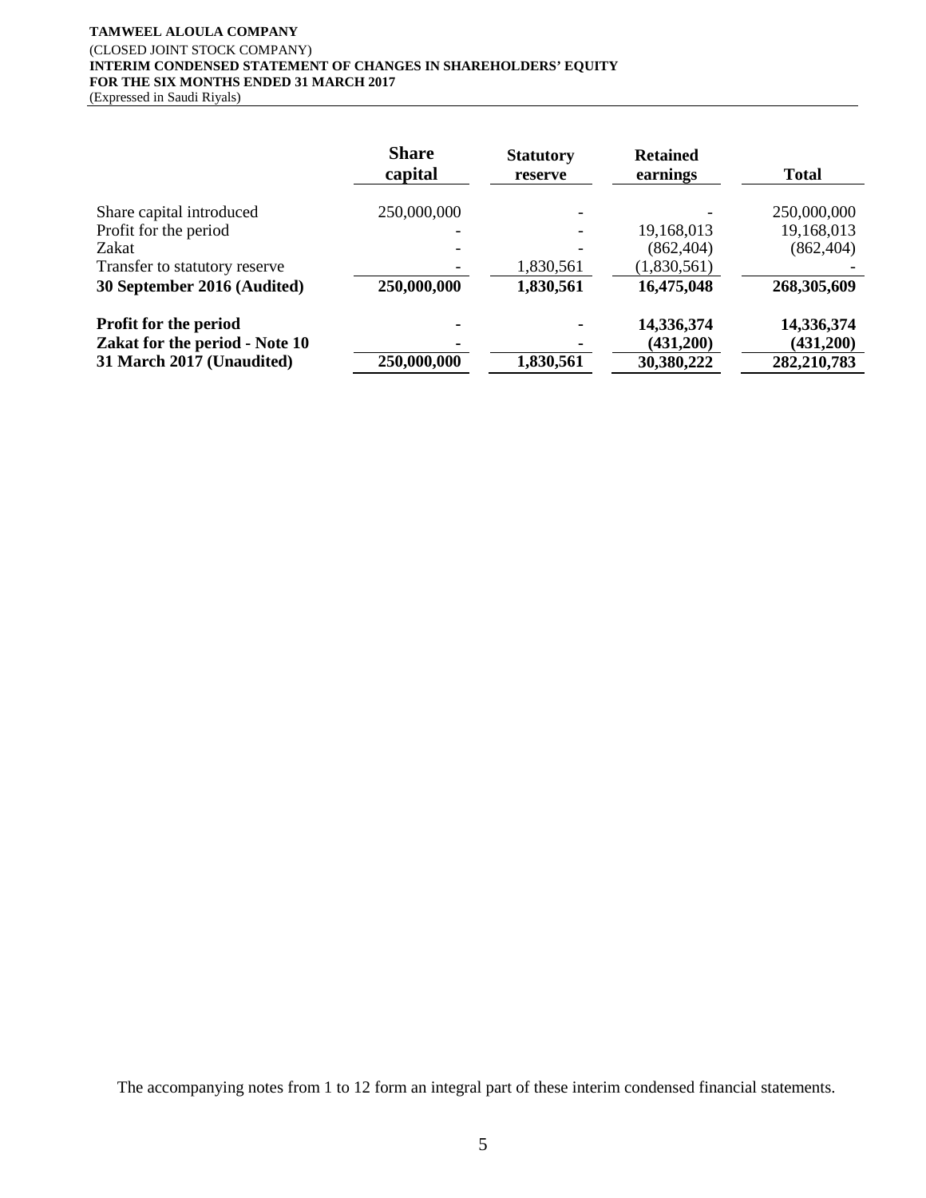# **TAMWEEL ALOULA COMPANY** (CLOSED JOINT STOCK COMPANY) **INTERIM CONDENSED STATEMENT OF CHANGES IN SHAREHOLDERS' EQUITY FOR THE SIX MONTHS ENDED 31 MARCH 2017**

(Expressed in Saudi Riyals)

|                                | <b>Share</b><br>capital | <b>Statutory</b><br>reserve | <b>Retained</b><br>earnings | <b>Total</b> |
|--------------------------------|-------------------------|-----------------------------|-----------------------------|--------------|
| Share capital introduced       | 250,000,000             |                             |                             | 250,000,000  |
| Profit for the period          |                         |                             | 19,168,013                  | 19,168,013   |
| Zakat                          |                         |                             | (862, 404)                  | (862, 404)   |
| Transfer to statutory reserve  |                         | 1,830,561                   | (1,830,561)                 |              |
| 30 September 2016 (Audited)    | 250,000,000             | 1,830,561                   | 16,475,048                  | 268,305,609  |
| <b>Profit for the period</b>   |                         |                             | 14,336,374                  | 14,336,374   |
| Zakat for the period - Note 10 |                         |                             | (431,200)                   | (431,200)    |
| 31 March 2017 (Unaudited)      | 250,000,000             | 1,830,561                   | 30,380,222                  | 282,210,783  |

The accompanying notes from 1 to 12 form an integral part of these interim condensed financial statements.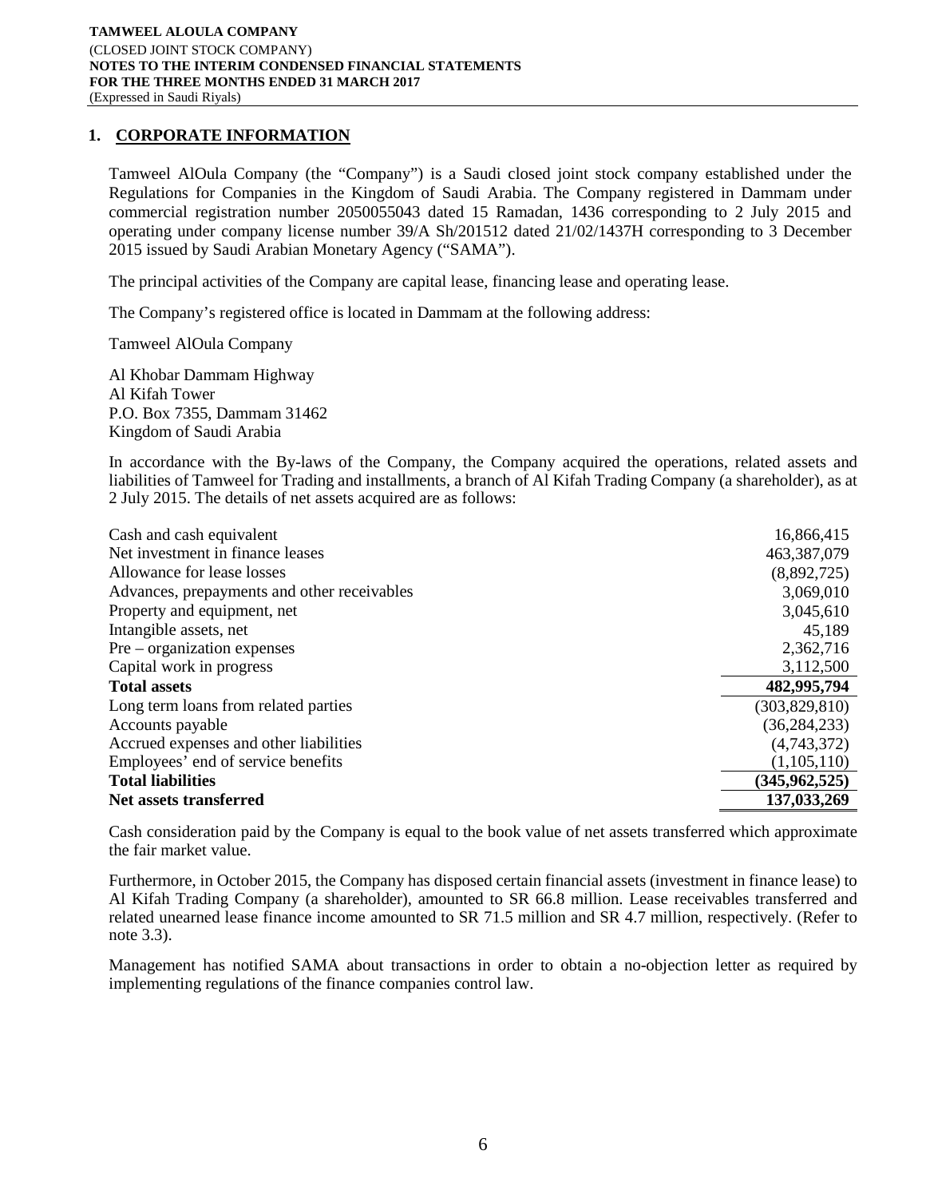# **1. CORPORATE INFORMATION**

Tamweel AlOula Company (the "Company") is a Saudi closed joint stock company established under the Regulations for Companies in the Kingdom of Saudi Arabia. The Company registered in Dammam under commercial registration number 2050055043 dated 15 Ramadan, 1436 corresponding to 2 July 2015 and operating under company license number 39/A Sh/201512 dated 21/02/1437H corresponding to 3 December 2015 issued by Saudi Arabian Monetary Agency ("SAMA").

The principal activities of the Company are capital lease, financing lease and operating lease.

The Company's registered office is located in Dammam at the following address:

Tamweel AlOula Company

Al Khobar Dammam Highway Al Kifah Tower P.O. Box 7355, Dammam 31462 Kingdom of Saudi Arabia

In accordance with the By-laws of the Company, the Company acquired the operations, related assets and liabilities of Tamweel for Trading and installments, a branch of Al Kifah Trading Company (a shareholder), as at 2 July 2015. The details of net assets acquired are as follows:

| Cash and cash equivalent                    | 16,866,415      |
|---------------------------------------------|-----------------|
| Net investment in finance leases            | 463, 387, 079   |
| Allowance for lease losses                  | (8,892,725)     |
| Advances, prepayments and other receivables | 3,069,010       |
| Property and equipment, net                 | 3,045,610       |
| Intangible assets, net                      | 45,189          |
| $Pre-organization$ expenses                 | 2,362,716       |
| Capital work in progress                    | 3,112,500       |
| <b>Total assets</b>                         | 482,995,794     |
| Long term loans from related parties        | (303, 829, 810) |
| Accounts payable                            | (36, 284, 233)  |
| Accrued expenses and other liabilities      | (4,743,372)     |
| Employees' end of service benefits          | (1,105,110)     |
| <b>Total liabilities</b>                    | (345, 962, 525) |
| Net assets transferred                      | 137,033,269     |

Cash consideration paid by the Company is equal to the book value of net assets transferred which approximate the fair market value.

Furthermore, in October 2015, the Company has disposed certain financial assets (investment in finance lease) to Al Kifah Trading Company (a shareholder), amounted to SR 66.8 million. Lease receivables transferred and related unearned lease finance income amounted to SR 71.5 million and SR 4.7 million, respectively. (Refer to note 3.3).

Management has notified SAMA about transactions in order to obtain a no-objection letter as required by implementing regulations of the finance companies control law.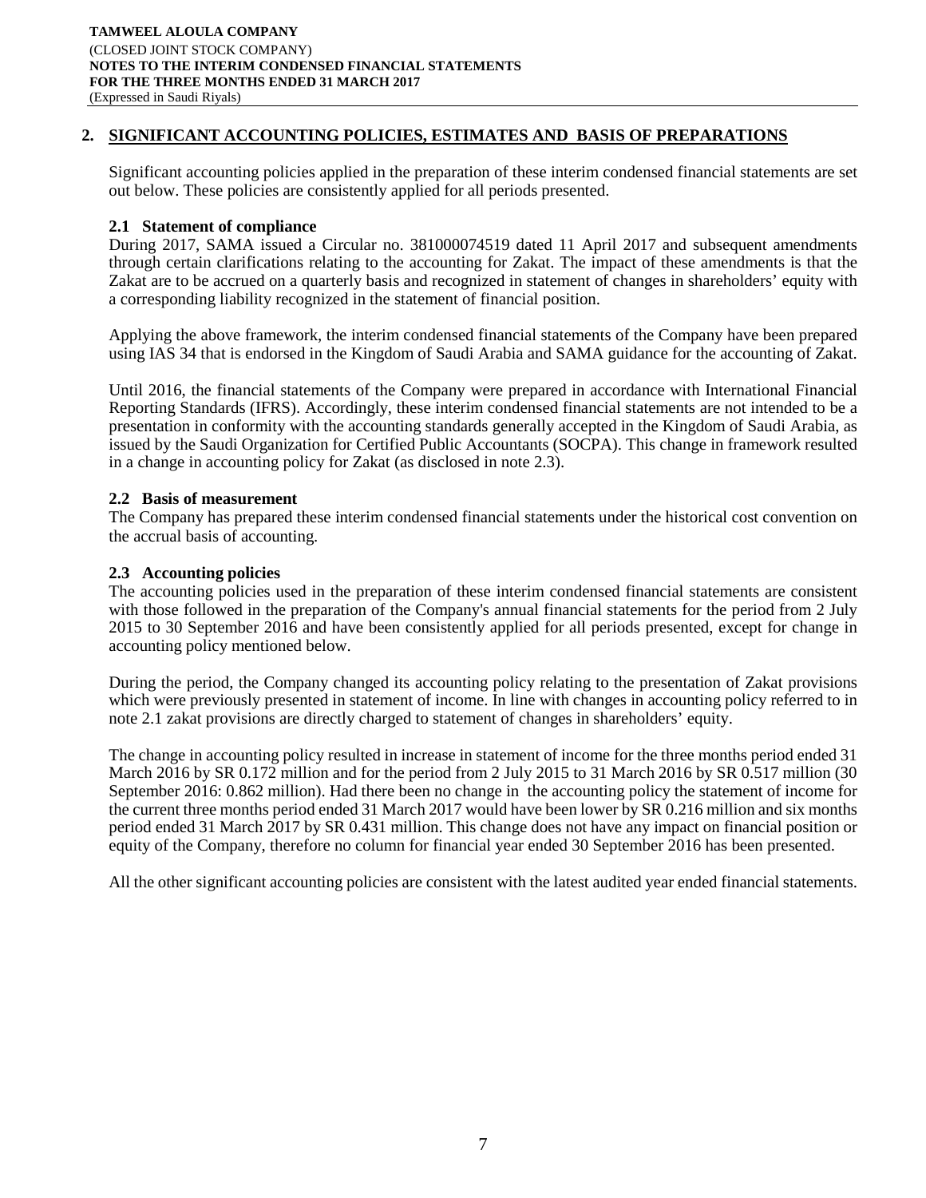# **2. SIGNIFICANT ACCOUNTING POLICIES, ESTIMATES AND BASIS OF PREPARATIONS**

Significant accounting policies applied in the preparation of these interim condensed financial statements are set out below. These policies are consistently applied for all periods presented.

## **2.1 Statement of compliance**

During 2017, SAMA issued a Circular no. 381000074519 dated 11 April 2017 and subsequent amendments through certain clarifications relating to the accounting for Zakat. The impact of these amendments is that the Zakat are to be accrued on a quarterly basis and recognized in statement of changes in shareholders' equity with a corresponding liability recognized in the statement of financial position.

Applying the above framework, the interim condensed financial statements of the Company have been prepared using IAS 34 that is endorsed in the Kingdom of Saudi Arabia and SAMA guidance for the accounting of Zakat.

Until 2016, the financial statements of the Company were prepared in accordance with International Financial Reporting Standards (IFRS). Accordingly, these interim condensed financial statements are not intended to be a presentation in conformity with the accounting standards generally accepted in the Kingdom of Saudi Arabia, as issued by the Saudi Organization for Certified Public Accountants (SOCPA). This change in framework resulted in a change in accounting policy for Zakat (as disclosed in note 2.3).

### **2.2 Basis of measurement**

The Company has prepared these interim condensed financial statements under the historical cost convention on the accrual basis of accounting.

### **2.3 Accounting policies**

The accounting policies used in the preparation of these interim condensed financial statements are consistent with those followed in the preparation of the Company's annual financial statements for the period from 2 July 2015 to 30 September 2016 and have been consistently applied for all periods presented, except for change in accounting policy mentioned below.

During the period, the Company changed its accounting policy relating to the presentation of Zakat provisions which were previously presented in statement of income. In line with changes in accounting policy referred to in note 2.1 zakat provisions are directly charged to statement of changes in shareholders' equity.

The change in accounting policy resulted in increase in statement of income for the three months period ended 31 March 2016 by SR 0.172 million and for the period from 2 July 2015 to 31 March 2016 by SR 0.517 million (30) September 2016: 0.862 million). Had there been no change in the accounting policy the statement of income for the current three months period ended 31 March 2017 would have been lower by SR 0.216 million and six months period ended 31 March 2017 by SR 0.431 million. This change does not have any impact on financial position or equity of the Company, therefore no column for financial year ended 30 September 2016 has been presented.

All the other significant accounting policies are consistent with the latest audited year ended financial statements.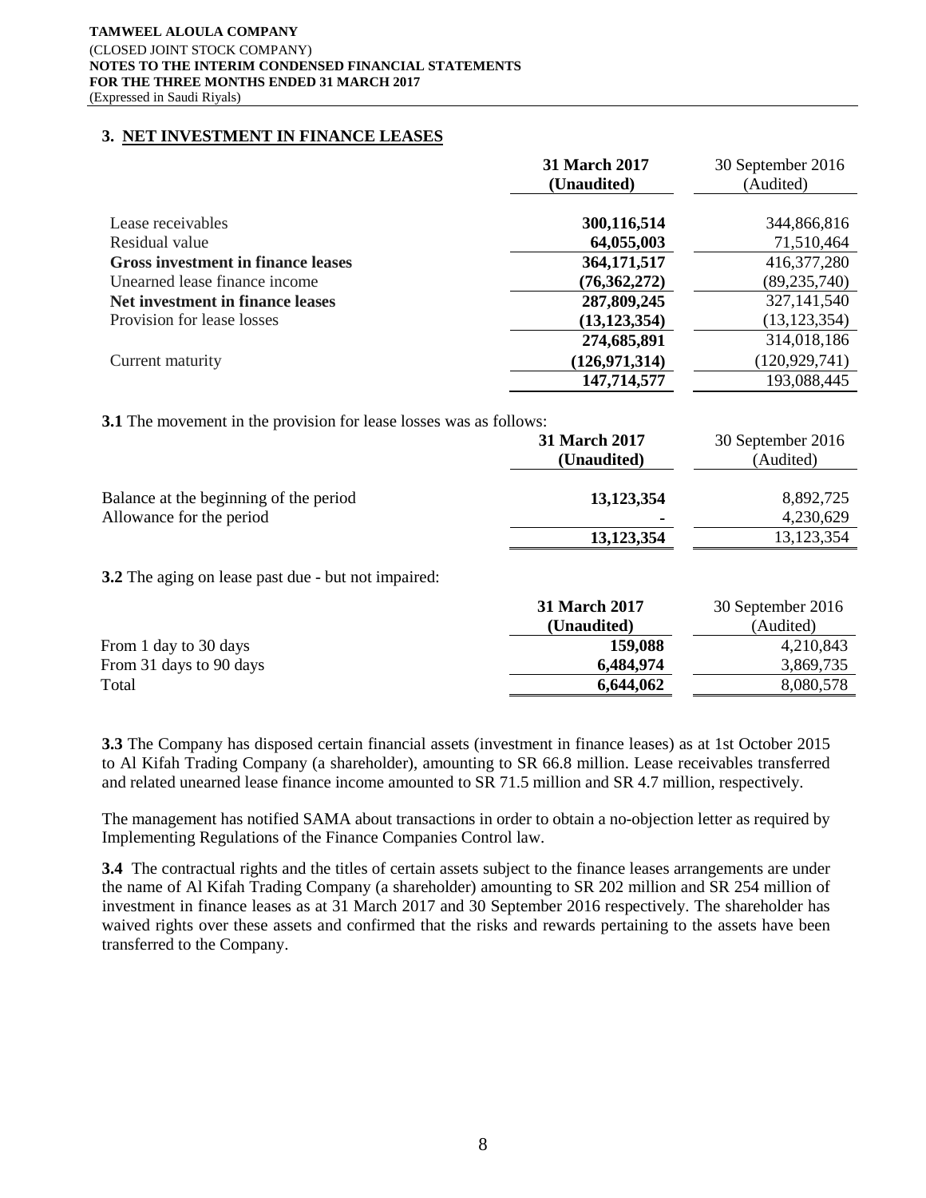#### **TAMWEEL ALOULA COMPANY** (CLOSED JOINT STOCK COMPANY) **NOTES TO THE INTERIM CONDENSED FINANCIAL STATEMENTS FOR THE THREE MONTHS ENDED 31 MARCH 2017** (Expressed in Saudi Riyals)

# **3. NET INVESTMENT IN FINANCE LEASES**

|                                           | 31 March 2017   | 30 September 2016 |
|-------------------------------------------|-----------------|-------------------|
|                                           | (Unaudited)     | (Audited)         |
|                                           |                 |                   |
| Lease receivables                         | 300,116,514     | 344,866,816       |
| Residual value                            | 64,055,003      | 71,510,464        |
| <b>Gross investment in finance leases</b> | 364, 171, 517   | 416, 377, 280     |
| Unearned lease finance income             | (76,362,272)    | (89, 235, 740)    |
| Net investment in finance leases          | 287,809,245     | 327,141,540       |
| Provision for lease losses                | (13, 123, 354)  | (13, 123, 354)    |
|                                           | 274,685,891     | 314,018,186       |
| Current maturity                          | (126, 971, 314) | (120, 929, 741)   |
|                                           | 147,714,577     | 193,088,445       |

**3.1** The movement in the provision for lease losses was as follows:

|                                                                    | <b>31 March 2017</b><br>(Unaudited) | 30 September 2016<br>(Audited) |
|--------------------------------------------------------------------|-------------------------------------|--------------------------------|
| Balance at the beginning of the period<br>Allowance for the period | 13,123,354<br>٠                     | 8,892,725<br>4,230,629         |
|                                                                    | 13,123,354                          | 13, 123, 354                   |

**3.2** The aging on lease past due - but not impaired:

|                         | 31 March 2017 | 30 September 2016 |
|-------------------------|---------------|-------------------|
|                         | (Unaudited)   | (Audited)         |
| From 1 day to 30 days   | 159,088       | 4,210,843         |
| From 31 days to 90 days | 6,484,974     | 3,869,735         |
| Total                   | 6,644,062     | 8,080,578         |

**3.3** The Company has disposed certain financial assets (investment in finance leases) as at 1st October 2015 to Al Kifah Trading Company (a shareholder), amounting to SR 66.8 million. Lease receivables transferred and related unearned lease finance income amounted to SR 71.5 million and SR 4.7 million, respectively.

The management has notified SAMA about transactions in order to obtain a no-objection letter as required by Implementing Regulations of the Finance Companies Control law.

**3.4** The contractual rights and the titles of certain assets subject to the finance leases arrangements are under the name of Al Kifah Trading Company (a shareholder) amounting to SR 202 million and SR 254 million of investment in finance leases as at 31 March 2017 and 30 September 2016 respectively. The shareholder has waived rights over these assets and confirmed that the risks and rewards pertaining to the assets have been transferred to the Company.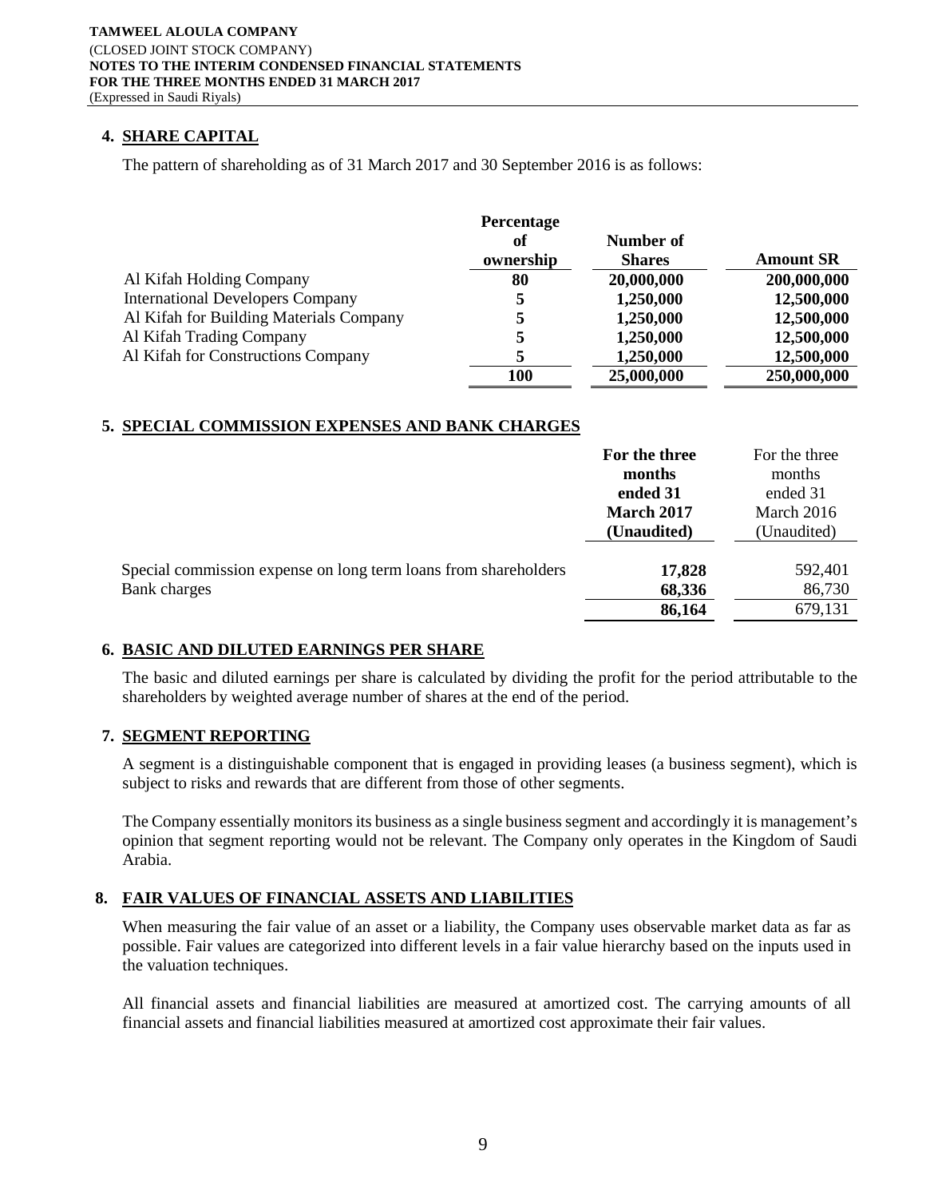# **4. SHARE CAPITAL**

The pattern of shareholding as of 31 March 2017 and 30 September 2016 is as follows:

|                                         | Percentage |               |                  |
|-----------------------------------------|------------|---------------|------------------|
|                                         | of         | Number of     |                  |
|                                         | ownership  | <b>Shares</b> | <b>Amount SR</b> |
| Al Kifah Holding Company                | 80         | 20,000,000    | 200,000,000      |
| <b>International Developers Company</b> | 5          | 1,250,000     | 12,500,000       |
| Al Kifah for Building Materials Company | 5          | 1,250,000     | 12,500,000       |
| Al Kifah Trading Company                | 5          | 1,250,000     | 12,500,000       |
| Al Kifah for Constructions Company      |            | 1,250,000     | 12,500,000       |
|                                         | 100        | 25,000,000    | 250,000,000      |

# **5. SPECIAL COMMISSION EXPENSES AND BANK CHARGES**

|                                                                 | For the three | For the three |
|-----------------------------------------------------------------|---------------|---------------|
|                                                                 | months        | months        |
|                                                                 | ended 31      | ended 31      |
|                                                                 | March 2017    | March 2016    |
|                                                                 | (Unaudited)   | (Unaudited)   |
|                                                                 |               |               |
| Special commission expense on long term loans from shareholders | 17,828        | 592,401       |
| Bank charges                                                    | 68,336        | 86,730        |
|                                                                 | 86,164        | 679,131       |

## **6. BASIC AND DILUTED EARNINGS PER SHARE**

The basic and diluted earnings per share is calculated by dividing the profit for the period attributable to the shareholders by weighted average number of shares at the end of the period.

## **7. SEGMENT REPORTING**

A segment is a distinguishable component that is engaged in providing leases (a business segment), which is subject to risks and rewards that are different from those of other segments.

The Company essentially monitors its business as a single business segment and accordingly it is management's opinion that segment reporting would not be relevant. The Company only operates in the Kingdom of Saudi Arabia.

# **8. FAIR VALUES OF FINANCIAL ASSETS AND LIABILITIES**

When measuring the fair value of an asset or a liability, the Company uses observable market data as far as possible. Fair values are categorized into different levels in a fair value hierarchy based on the inputs used in the valuation techniques.

All financial assets and financial liabilities are measured at amortized cost. The carrying amounts of all financial assets and financial liabilities measured at amortized cost approximate their fair values.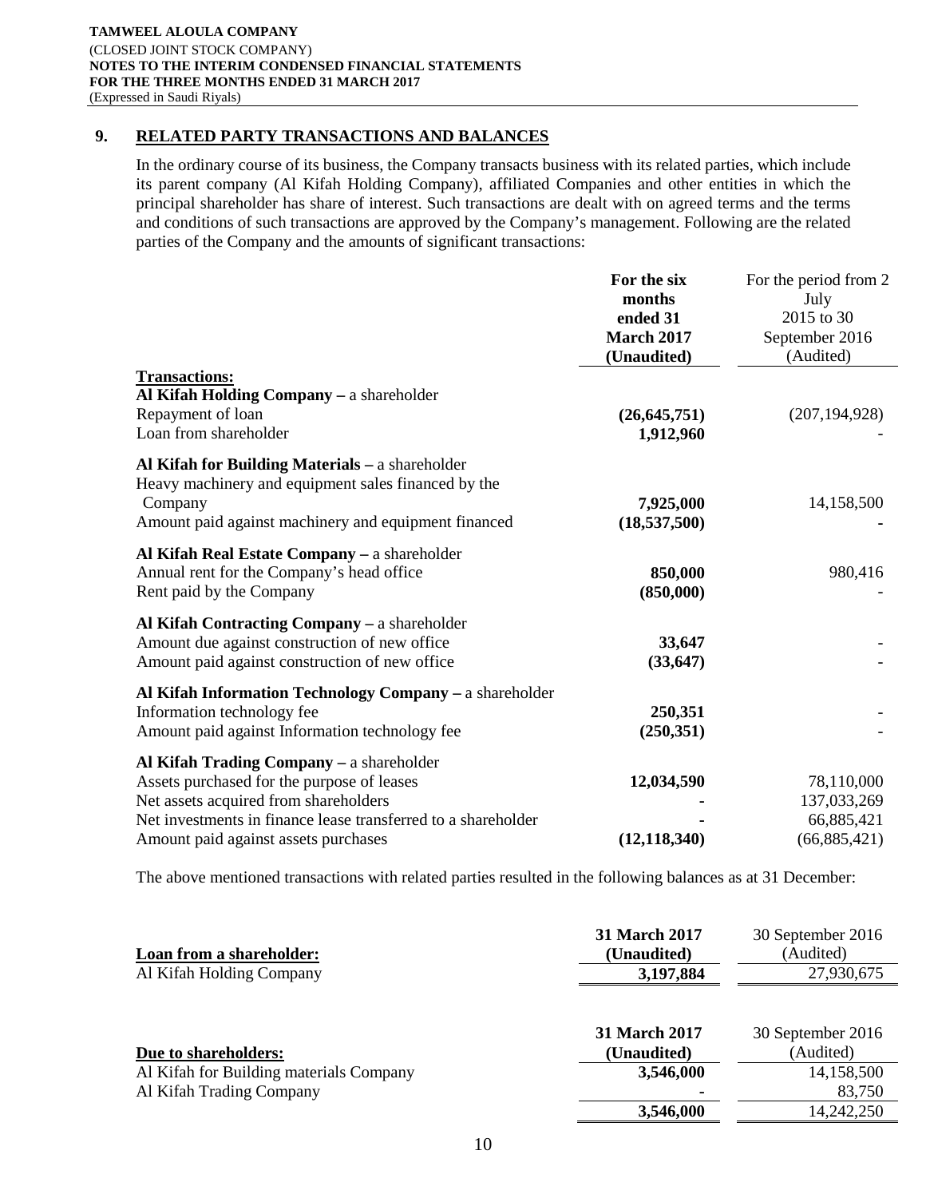# **9. RELATED PARTY TRANSACTIONS AND BALANCES**

In the ordinary course of its business, the Company transacts business with its related parties, which include its parent company (Al Kifah Holding Company), affiliated Companies and other entities in which the principal shareholder has share of interest. Such transactions are dealt with on agreed terms and the terms and conditions of such transactions are approved by the Company's management. Following are the related parties of the Company and the amounts of significant transactions:

| <b>Transactions:</b>                                                                                                                                                                                                                     | For the six<br>months<br>ended 31<br><b>March 2017</b><br>(Unaudited) | For the period from 2<br>July<br>2015 to 30<br>September 2016<br>(Audited) |
|------------------------------------------------------------------------------------------------------------------------------------------------------------------------------------------------------------------------------------------|-----------------------------------------------------------------------|----------------------------------------------------------------------------|
| Al Kifah Holding Company - a shareholder<br>Repayment of loan<br>Loan from shareholder                                                                                                                                                   | (26, 645, 751)<br>1,912,960                                           | (207, 194, 928)                                                            |
| Al Kifah for Building Materials - a shareholder<br>Heavy machinery and equipment sales financed by the<br>Company<br>Amount paid against machinery and equipment financed                                                                | 7,925,000<br>(18,537,500)                                             | 14,158,500                                                                 |
| Al Kifah Real Estate Company - a shareholder<br>Annual rent for the Company's head office<br>Rent paid by the Company                                                                                                                    | 850,000<br>(850,000)                                                  | 980,416                                                                    |
| Al Kifah Contracting Company – a shareholder<br>Amount due against construction of new office<br>Amount paid against construction of new office                                                                                          | 33,647<br>(33, 647)                                                   |                                                                            |
| Al Kifah Information Technology Company - a shareholder<br>Information technology fee<br>Amount paid against Information technology fee                                                                                                  | 250,351<br>(250, 351)                                                 |                                                                            |
| Al Kifah Trading Company - a shareholder<br>Assets purchased for the purpose of leases<br>Net assets acquired from shareholders<br>Net investments in finance lease transferred to a shareholder<br>Amount paid against assets purchases | 12,034,590<br>(12, 118, 340)                                          | 78,110,000<br>137,033,269<br>66,885,421<br>(66,885,421)                    |

The above mentioned transactions with related parties resulted in the following balances as at 31 December:

| Loan from a shareholder:                | <b>31 March 2017</b><br>(Unaudited) | 30 September 2016<br>(Audited) |
|-----------------------------------------|-------------------------------------|--------------------------------|
| Al Kifah Holding Company                | 3,197,884                           | 27,930,675                     |
| Due to shareholders:                    | <b>31 March 2017</b><br>(Unaudited) | 30 September 2016<br>(Audited) |
| Al Kifah for Building materials Company | 3,546,000                           | 14,158,500                     |
| Al Kifah Trading Company                |                                     | 83,750                         |
|                                         | 3,546,000                           | 14,242,250                     |